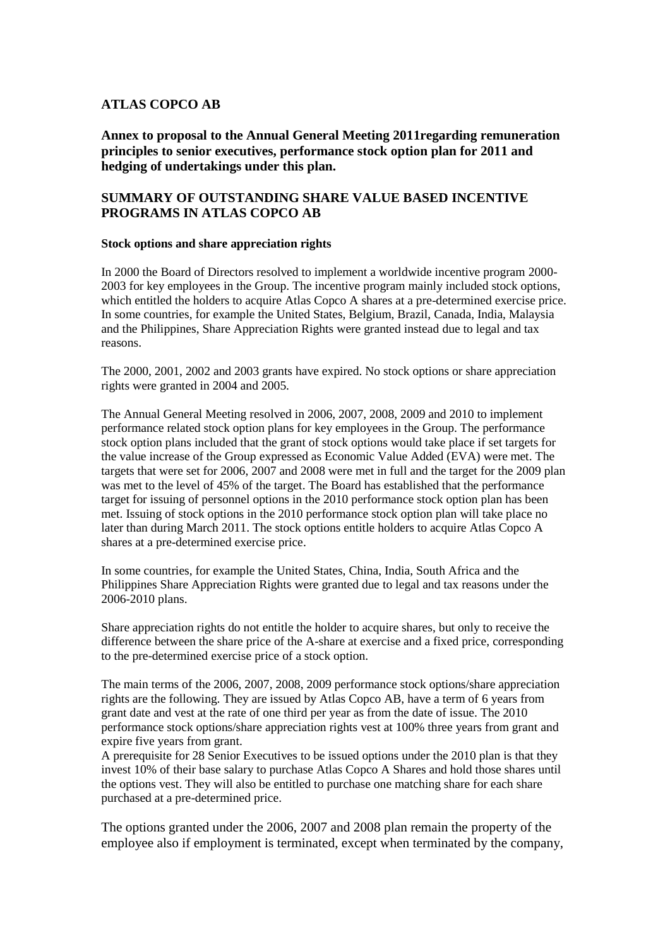## **ATLAS COPCO AB**

**Annex to proposal to the Annual General Meeting 2011regarding remuneration principles to senior executives, performance stock option plan for 2011 and hedging of undertakings under this plan.**

## **SUMMARY OF OUTSTANDING SHARE VALUE BASED INCENTIVE PROGRAMS IN ATLAS COPCO AB**

## **Stock options and share appreciation rights**

In 2000 the Board of Directors resolved to implement a worldwide incentive program 2000- 2003 for key employees in the Group. The incentive program mainly included stock options, which entitled the holders to acquire Atlas Copco A shares at a pre-determined exercise price. In some countries, for example the United States, Belgium, Brazil, Canada, India, Malaysia and the Philippines, Share Appreciation Rights were granted instead due to legal and tax reasons.

The 2000, 2001, 2002 and 2003 grants have expired. No stock options or share appreciation rights were granted in 2004 and 2005.

The Annual General Meeting resolved in 2006, 2007, 2008, 2009 and 2010 to implement performance related stock option plans for key employees in the Group. The performance stock option plans included that the grant of stock options would take place if set targets for the value increase of the Group expressed as Economic Value Added (EVA) were met. The targets that were set for 2006, 2007 and 2008 were met in full and the target for the 2009 plan was met to the level of 45% of the target. The Board has established that the performance target for issuing of personnel options in the 2010 performance stock option plan has been met. Issuing of stock options in the 2010 performance stock option plan will take place no later than during March 2011. The stock options entitle holders to acquire Atlas Copco A shares at a pre-determined exercise price.

In some countries, for example the United States, China, India, South Africa and the Philippines Share Appreciation Rights were granted due to legal and tax reasons under the 2006-2010 plans.

Share appreciation rights do not entitle the holder to acquire shares, but only to receive the difference between the share price of the A-share at exercise and a fixed price, corresponding to the pre-determined exercise price of a stock option.

The main terms of the 2006, 2007, 2008, 2009 performance stock options/share appreciation rights are the following. They are issued by Atlas Copco AB, have a term of 6 years from grant date and vest at the rate of one third per year as from the date of issue. The 2010 performance stock options/share appreciation rights vest at 100% three years from grant and expire five years from grant.

A prerequisite for 28 Senior Executives to be issued options under the 2010 plan is that they invest 10% of their base salary to purchase Atlas Copco A Shares and hold those shares until the options vest. They will also be entitled to purchase one matching share for each share purchased at a pre-determined price.

The options granted under the 2006, 2007 and 2008 plan remain the property of the employee also if employment is terminated, except when terminated by the company,